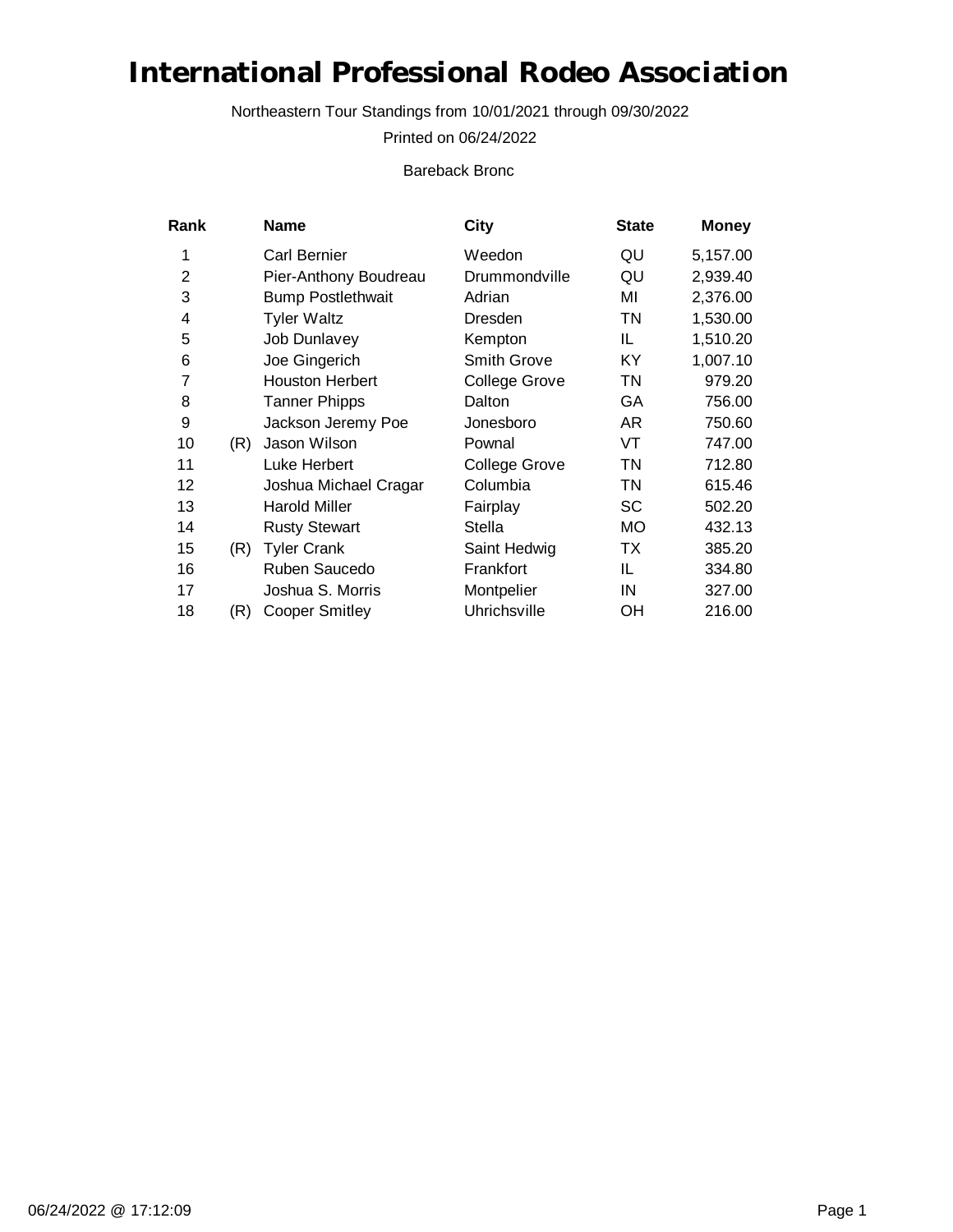Northeastern Tour Standings from 10/01/2021 through 09/30/2022

Printed on 06/24/2022

Bareback Bronc

| Rank           |     | <b>Name</b>              | City                 | <b>State</b> | <b>Money</b> |
|----------------|-----|--------------------------|----------------------|--------------|--------------|
| 1              |     | Carl Bernier             | Weedon               | QU           | 5,157.00     |
| $\overline{2}$ |     | Pier-Anthony Boudreau    | Drummondville        | QU           | 2,939.40     |
| 3              |     | <b>Bump Postlethwait</b> | Adrian               | MI           | 2,376.00     |
| 4              |     | <b>Tyler Waltz</b>       | Dresden              | TN           | 1,530.00     |
| 5              |     | <b>Job Dunlavey</b>      | Kempton              | IL           | 1,510.20     |
| 6              |     | Joe Gingerich            | <b>Smith Grove</b>   | KY           | 1,007.10     |
| 7              |     | <b>Houston Herbert</b>   | <b>College Grove</b> | TN           | 979.20       |
| 8              |     | <b>Tanner Phipps</b>     | Dalton               | GА           | 756.00       |
| 9              |     | Jackson Jeremy Poe       | Jonesboro            | AR           | 750.60       |
| 10             | (R) | Jason Wilson             | Pownal               | VT           | 747.00       |
| 11             |     | Luke Herbert             | College Grove        | TN           | 712.80       |
| 12             |     | Joshua Michael Cragar    | Columbia             | <b>TN</b>    | 615.46       |
| 13             |     | <b>Harold Miller</b>     | Fairplay             | SC           | 502.20       |
| 14             |     | <b>Rusty Stewart</b>     | Stella               | МO           | 432.13       |
| 15             | (R) | <b>Tyler Crank</b>       | Saint Hedwig         | TX           | 385.20       |
| 16             |     | Ruben Saucedo            | Frankfort            | IL           | 334.80       |
| 17             |     | Joshua S. Morris         | Montpelier           | IN           | 327.00       |
| 18             | (R) | <b>Cooper Smitley</b>    | Uhrichsville         | OН           | 216.00       |
|                |     |                          |                      |              |              |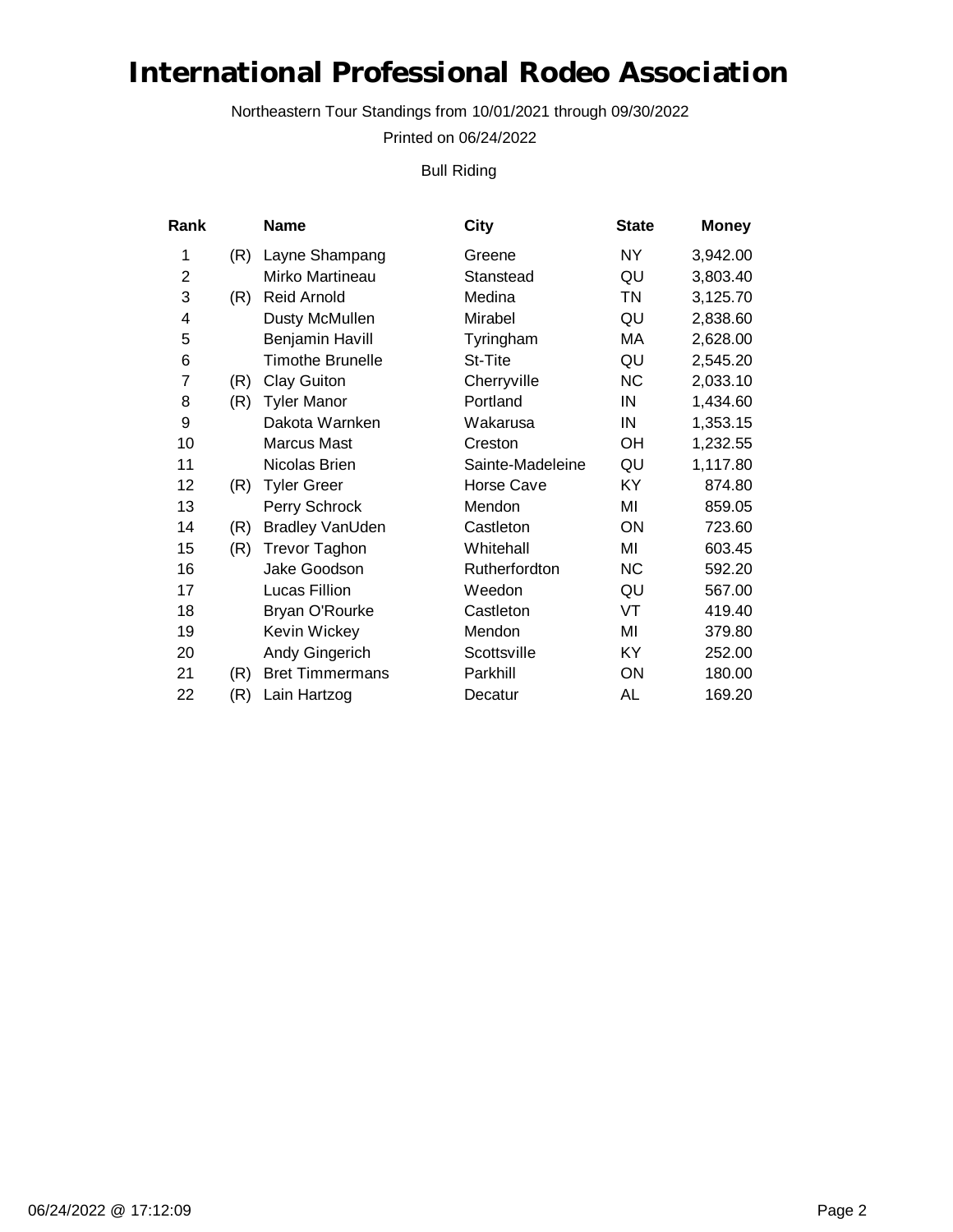Northeastern Tour Standings from 10/01/2021 through 09/30/2022

Printed on 06/24/2022

Bull Riding

| Rank           |     | Name                    | City             | <b>State</b> | <b>Money</b> |
|----------------|-----|-------------------------|------------------|--------------|--------------|
| 1              | (R) | Layne Shampang          | Greene           | NY           | 3,942.00     |
| $\overline{2}$ |     | Mirko Martineau         | Stanstead        | QU           | 3,803.40     |
| 3              | (R) | Reid Arnold             | Medina           | <b>TN</b>    | 3,125.70     |
| 4              |     | Dusty McMullen          | Mirabel          | QU           | 2,838.60     |
| 5              |     | <b>Benjamin Havill</b>  | Tyringham        | МA           | 2,628.00     |
| 6              |     | <b>Timothe Brunelle</b> | St-Tite          | QU           | 2,545.20     |
| 7              | (R) | <b>Clay Guiton</b>      | Cherryville      | <b>NC</b>    | 2,033.10     |
| 8              | (R) | <b>Tyler Manor</b>      | Portland         | IN           | 1,434.60     |
| 9              |     | Dakota Warnken          | Wakarusa         | IN           | 1,353.15     |
| 10             |     | <b>Marcus Mast</b>      | Creston          | OН           | 1,232.55     |
| 11             |     | Nicolas Brien           | Sainte-Madeleine | QU           | 1,117.80     |
| 12             | (R) | <b>Tyler Greer</b>      | Horse Cave       | KY           | 874.80       |
| 13             |     | Perry Schrock           | Mendon           | MI           | 859.05       |
| 14             | (R) | <b>Bradley VanUden</b>  | Castleton        | ON           | 723.60       |
| 15             | (R) | <b>Trevor Taghon</b>    | Whitehall        | MI           | 603.45       |
| 16             |     | Jake Goodson            | Rutherfordton    | <b>NC</b>    | 592.20       |
| 17             |     | Lucas Fillion           | Weedon           | QU           | 567.00       |
| 18             |     | Bryan O'Rourke          | Castleton        | VT           | 419.40       |
| 19             |     | Kevin Wickey            | Mendon           | MI           | 379.80       |
| 20             |     | Andy Gingerich          | Scottsville      | KY           | 252.00       |
| 21             | (R) | <b>Bret Timmermans</b>  | Parkhill         | ON           | 180.00       |
| 22             | (R) | Lain Hartzog            | Decatur          | AL           | 169.20       |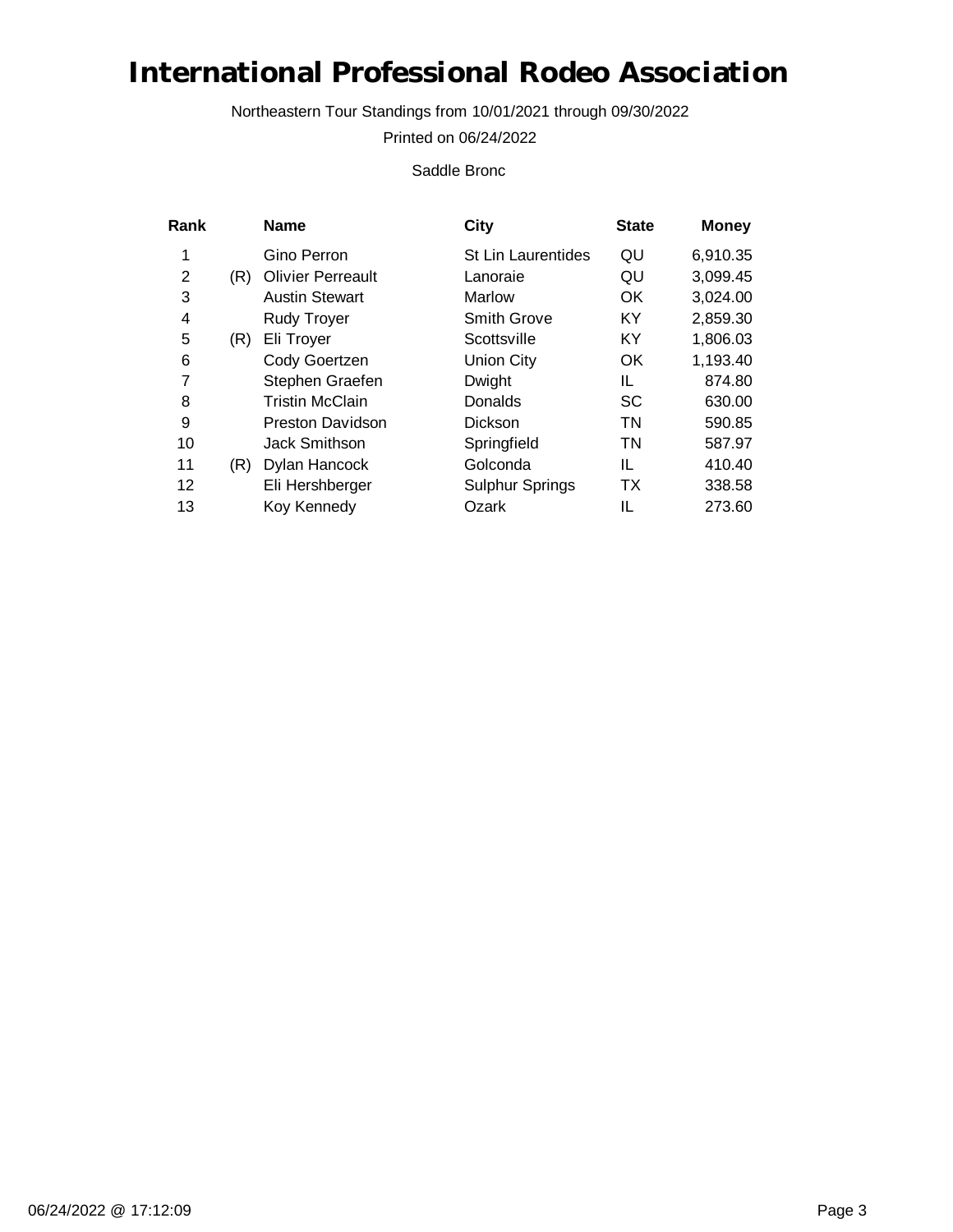Northeastern Tour Standings from 10/01/2021 through 09/30/2022

Printed on 06/24/2022

Saddle Bronc

|     | <b>Name</b>              | City                      | <b>State</b> | <b>Money</b> |
|-----|--------------------------|---------------------------|--------------|--------------|
|     | Gino Perron              | <b>St Lin Laurentides</b> | QU           | 6,910.35     |
| (R) | <b>Olivier Perreault</b> | Lanoraie                  | QU           | 3,099.45     |
|     | <b>Austin Stewart</b>    | Marlow                    | OK.          | 3,024.00     |
|     | <b>Rudy Troyer</b>       | <b>Smith Grove</b>        | KY           | 2,859.30     |
| (R) | Eli Troyer               | Scottsville               | KY           | 1,806.03     |
|     | Cody Goertzen            | Union City                | OK           | 1,193.40     |
|     | Stephen Graefen          | Dwight                    | IL           | 874.80       |
|     | <b>Tristin McClain</b>   | Donalds                   | <b>SC</b>    | 630.00       |
|     | <b>Preston Davidson</b>  | <b>Dickson</b>            | TN           | 590.85       |
|     | <b>Jack Smithson</b>     | Springfield               | TN           | 587.97       |
| (R) | Dylan Hancock            | Golconda                  | IL           | 410.40       |
|     | Eli Hershberger          | <b>Sulphur Springs</b>    | TX           | 338.58       |
|     | Koy Kennedy              | Ozark                     | IL           | 273.60       |
|     |                          |                           |              |              |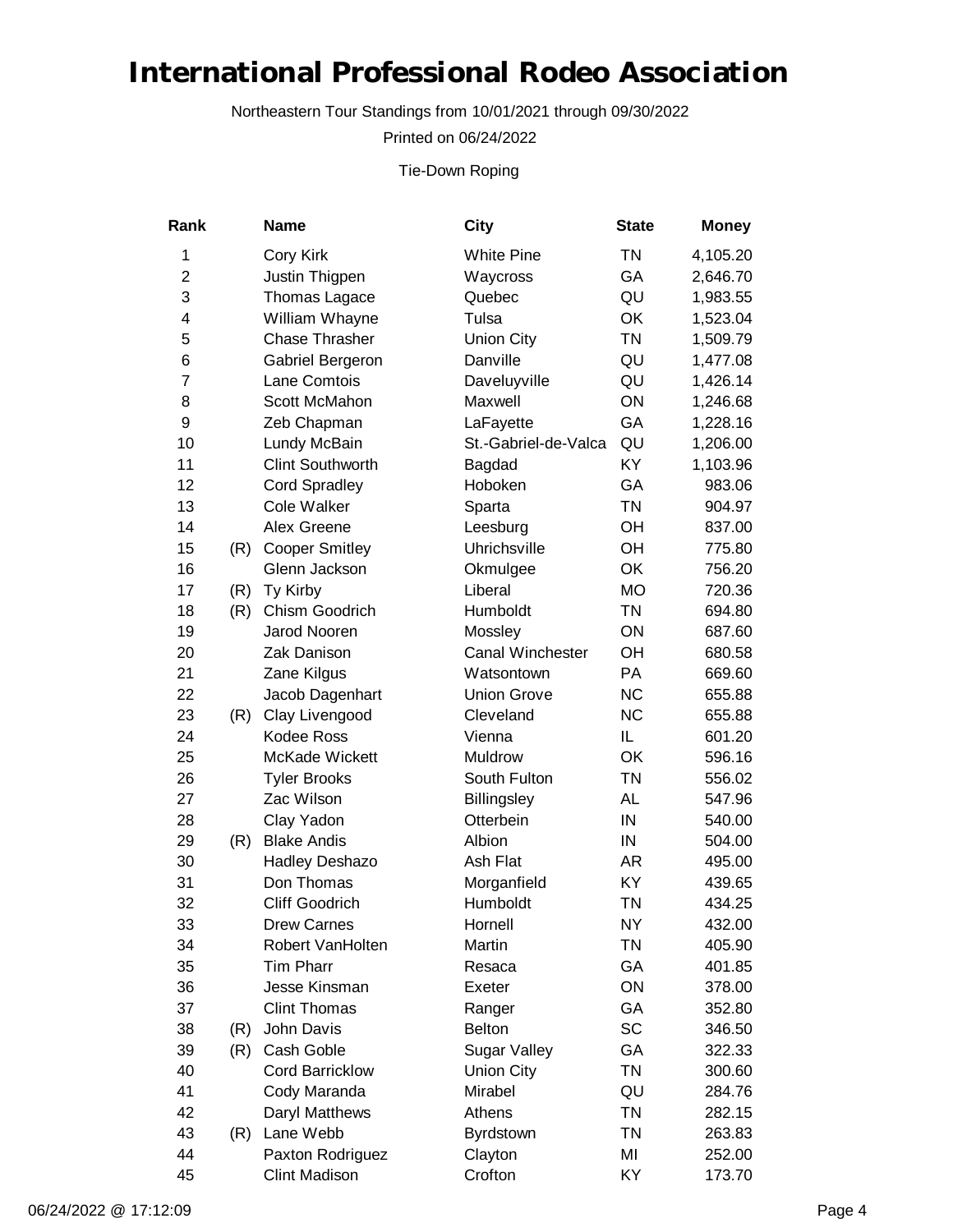Northeastern Tour Standings from 10/01/2021 through 09/30/2022

Printed on 06/24/2022

Tie-Down Roping

| Rank           |     | <b>Name</b>             | <b>City</b>             | <b>State</b> | <b>Money</b> |
|----------------|-----|-------------------------|-------------------------|--------------|--------------|
| 1              |     | Cory Kirk               | <b>White Pine</b>       | <b>TN</b>    | 4,105.20     |
| $\overline{2}$ |     | Justin Thigpen          | Waycross                | GA           | 2,646.70     |
| 3              |     | Thomas Lagace           | Quebec                  | QU           | 1,983.55     |
| 4              |     | William Whayne          | Tulsa                   | OK           | 1,523.04     |
| 5              |     | <b>Chase Thrasher</b>   | <b>Union City</b>       | <b>TN</b>    | 1,509.79     |
| 6              |     | Gabriel Bergeron        | Danville                | QU           | 1,477.08     |
| $\overline{7}$ |     | Lane Comtois            | Daveluyville            | QU           | 1,426.14     |
| 8              |     | Scott McMahon           | Maxwell                 | ON           | 1,246.68     |
| 9              |     | Zeb Chapman             | LaFayette               | GA           | 1,228.16     |
| 10             |     | Lundy McBain            | St.-Gabriel-de-Valca    | QU           | 1,206.00     |
| 11             |     | <b>Clint Southworth</b> | Bagdad                  | KY           | 1,103.96     |
| 12             |     | <b>Cord Spradley</b>    | Hoboken                 | GA           | 983.06       |
| 13             |     | <b>Cole Walker</b>      | Sparta                  | <b>TN</b>    | 904.97       |
| 14             |     | Alex Greene             | Leesburg                | OH           | 837.00       |
| 15             | (R) | <b>Cooper Smitley</b>   | Uhrichsville            | OH           | 775.80       |
| 16             |     | Glenn Jackson           | Okmulgee                | OK           | 756.20       |
| 17             | (R) | Ty Kirby                | Liberal                 | <b>MO</b>    | 720.36       |
| 18             | (R) | Chism Goodrich          | Humboldt                | <b>TN</b>    | 694.80       |
| 19             |     | Jarod Nooren            | Mossley                 | ON           | 687.60       |
| 20             |     | Zak Danison             | <b>Canal Winchester</b> | OH           | 680.58       |
| 21             |     | Zane Kilgus             | Watsontown              | PA           | 669.60       |
| 22             |     | Jacob Dagenhart         | <b>Union Grove</b>      | <b>NC</b>    | 655.88       |
| 23             | (R) | Clay Livengood          | Cleveland               | <b>NC</b>    | 655.88       |
| 24             |     | Kodee Ross              | Vienna                  | IL.          | 601.20       |
| 25             |     | McKade Wickett          | Muldrow                 | OK           | 596.16       |
| 26             |     | <b>Tyler Brooks</b>     | South Fulton            | <b>TN</b>    | 556.02       |
| 27             |     | Zac Wilson              | <b>Billingsley</b>      | <b>AL</b>    | 547.96       |
| 28             |     | Clay Yadon              | Otterbein               | IN           | 540.00       |
| 29             | (R) | <b>Blake Andis</b>      | Albion                  | IN           | 504.00       |
| 30             |     | Hadley Deshazo          | Ash Flat                | AR.          | 495.00       |
| 31             |     | Don Thomas              | Morganfield             | KY           | 439.65       |
| 32             |     | <b>Cliff Goodrich</b>   | Humboldt                | <b>TN</b>    | 434.25       |
| 33             |     | <b>Drew Carnes</b>      | Hornell                 | <b>NY</b>    | 432.00       |
| 34             |     | Robert VanHolten        | Martin                  | <b>TN</b>    | 405.90       |
| 35             |     | <b>Tim Pharr</b>        | Resaca                  | GA           | 401.85       |
| 36             |     | Jesse Kinsman           | Exeter                  | ON           | 378.00       |
| 37             |     | <b>Clint Thomas</b>     | Ranger                  | GA           | 352.80       |
| 38             | (R) | John Davis              | <b>Belton</b>           | SC           | 346.50       |
| 39             | (R) | Cash Goble              | <b>Sugar Valley</b>     | GA           | 322.33       |
| 40             |     | <b>Cord Barricklow</b>  | <b>Union City</b>       | <b>TN</b>    | 300.60       |
| 41             |     | Cody Maranda            | Mirabel                 | QU           | 284.76       |
| 42             |     | Daryl Matthews          | Athens                  | <b>TN</b>    | 282.15       |
| 43             | (R) | Lane Webb               | Byrdstown               | <b>TN</b>    | 263.83       |
| 44             |     | Paxton Rodriguez        | Clayton                 | MI           | 252.00       |
| 45             |     | <b>Clint Madison</b>    | Crofton                 | KY           | 173.70       |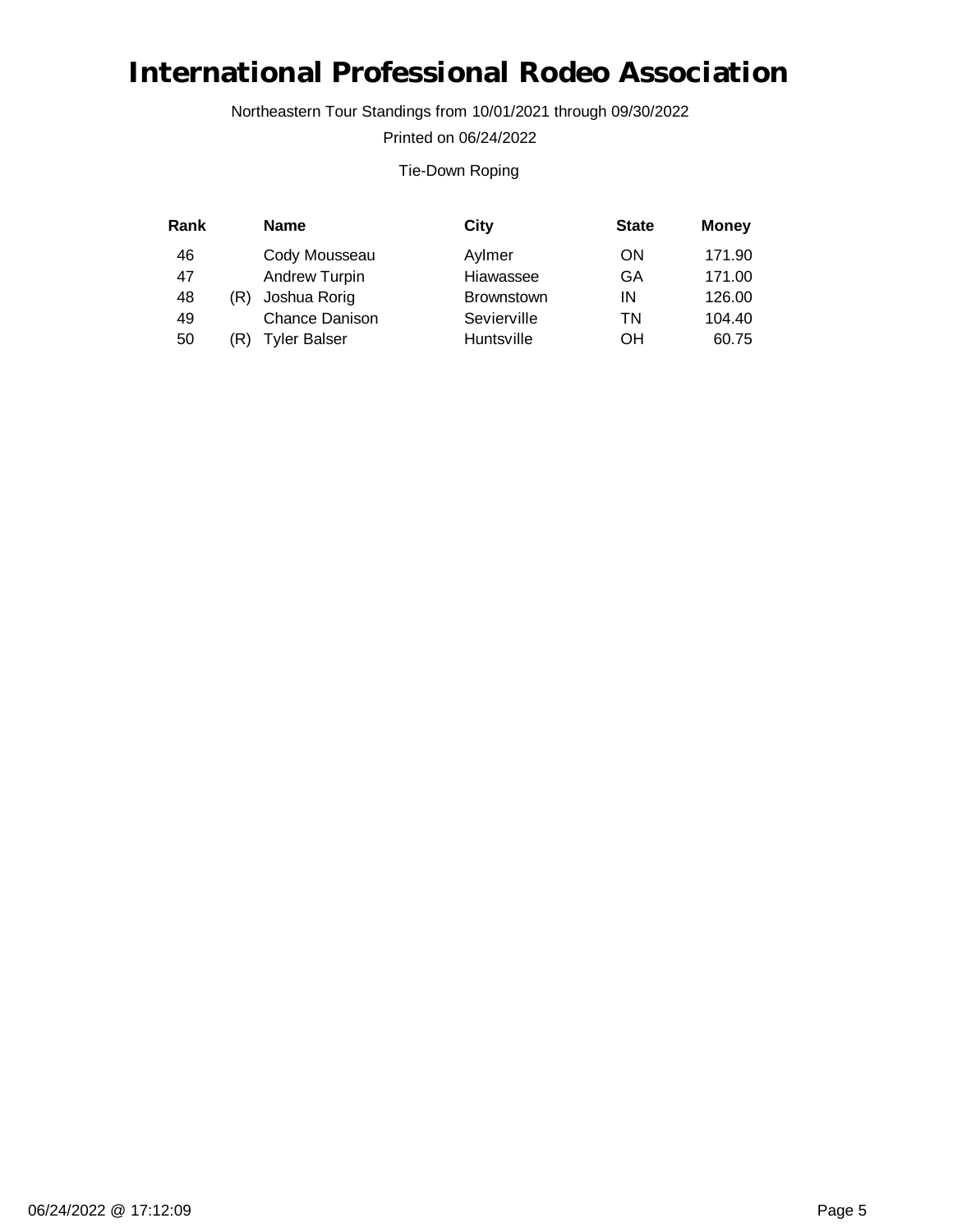Northeastern Tour Standings from 10/01/2021 through 09/30/2022

Printed on 06/24/2022

#### Tie-Down Roping

| Rank |     | <b>Name</b>           | City              | <b>State</b> | <b>Money</b> |
|------|-----|-----------------------|-------------------|--------------|--------------|
| 46   |     | Cody Mousseau         | Aylmer            | ON           | 171.90       |
| 47   |     | <b>Andrew Turpin</b>  | Hiawassee         | GA           | 171.00       |
| 48   | (R) | Joshua Rorig          | <b>Brownstown</b> | ΙN           | 126.00       |
| 49   |     | <b>Chance Danison</b> | Sevierville       | ΤN           | 104.40       |
| 50   | R)  | <b>Tyler Balser</b>   | Huntsville        | ΟH           | 60.75        |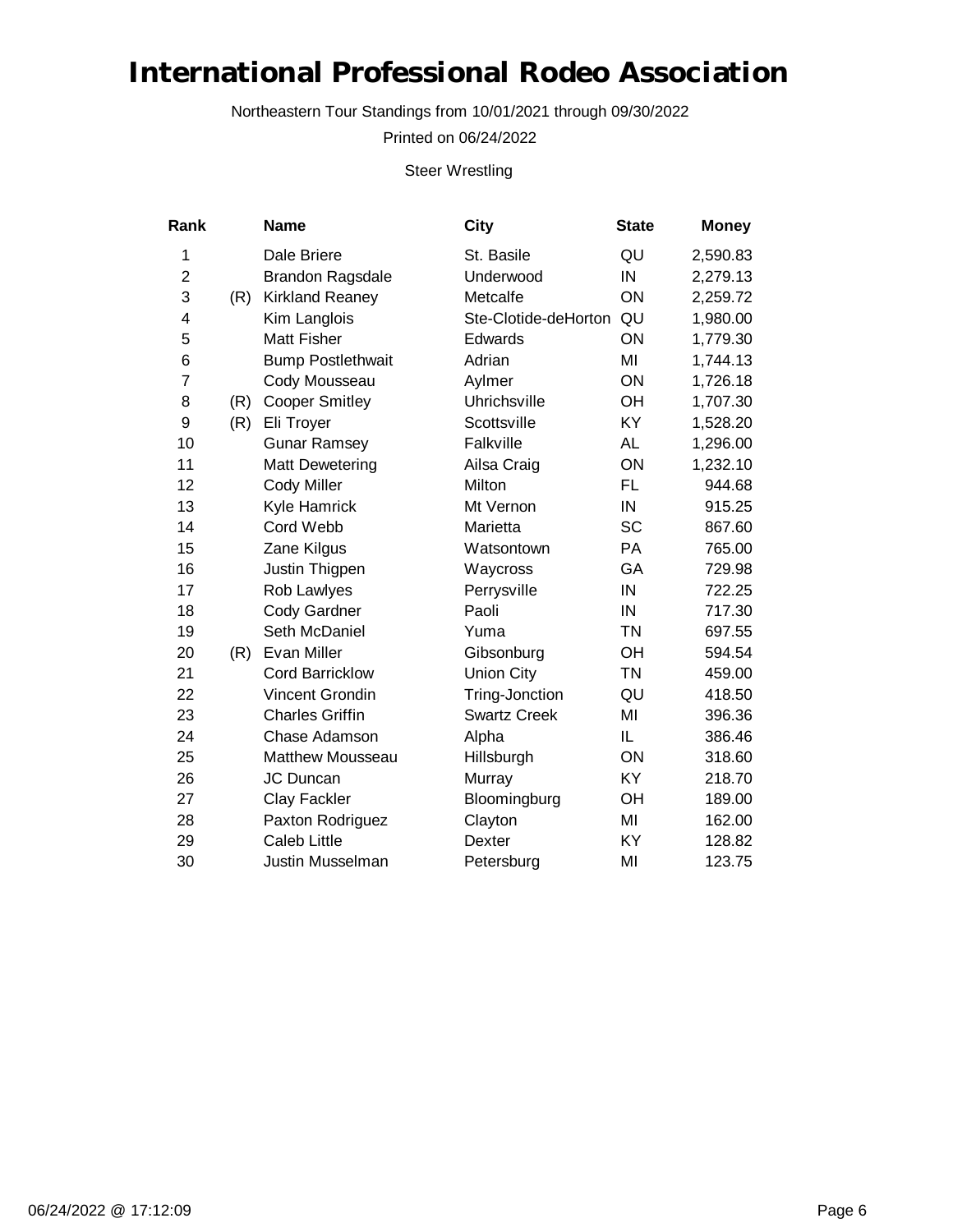Northeastern Tour Standings from 10/01/2021 through 09/30/2022

Printed on 06/24/2022

Steer Wrestling

| Rank         |     | <b>Name</b>              | City                 | <b>State</b> | <b>Money</b> |
|--------------|-----|--------------------------|----------------------|--------------|--------------|
| $\mathbf{1}$ |     | Dale Briere              | St. Basile           | QU           | 2,590.83     |
| 2            |     | <b>Brandon Ragsdale</b>  | Underwood            | IN           | 2,279.13     |
| 3            | (R) | <b>Kirkland Reaney</b>   | Metcalfe             | ON           | 2,259.72     |
| 4            |     | Kim Langlois             | Ste-Clotide-deHorton | QU           | 1,980.00     |
| 5            |     | <b>Matt Fisher</b>       | Edwards              | ON           | 1,779.30     |
| 6            |     | <b>Bump Postlethwait</b> | Adrian               | MI           | 1,744.13     |
| 7            |     | Cody Mousseau            | Aylmer               | ON           | 1,726.18     |
| 8            | (R) | <b>Cooper Smitley</b>    | Uhrichsville         | OH           | 1,707.30     |
| 9            | (R) | Eli Troyer               | Scottsville          | KY           | 1,528.20     |
| 10           |     | <b>Gunar Ramsey</b>      | Falkville            | <b>AL</b>    | 1,296.00     |
| 11           |     | Matt Dewetering          | Ailsa Craig          | ON           | 1,232.10     |
| 12           |     | <b>Cody Miller</b>       | Milton               | FL           | 944.68       |
| 13           |     | Kyle Hamrick             | Mt Vernon            | IN           | 915.25       |
| 14           |     | Cord Webb                | Marietta             | <b>SC</b>    | 867.60       |
| 15           |     | Zane Kilgus              | Watsontown           | PA           | 765.00       |
| 16           |     | Justin Thigpen           | Waycross             | GA           | 729.98       |
| 17           |     | Rob Lawlyes              | Perrysville          | IN           | 722.25       |
| 18           |     | Cody Gardner             | Paoli                | IN           | 717.30       |
| 19           |     | Seth McDaniel            | Yuma                 | <b>TN</b>    | 697.55       |
| 20           | (R) | Evan Miller              | Gibsonburg           | OH           | 594.54       |
| 21           |     | <b>Cord Barricklow</b>   | <b>Union City</b>    | <b>TN</b>    | 459.00       |
| 22           |     | Vincent Grondin          | Tring-Jonction       | QU           | 418.50       |
| 23           |     | <b>Charles Griffin</b>   | <b>Swartz Creek</b>  | MI           | 396.36       |
| 24           |     | Chase Adamson            | Alpha                | IL           | 386.46       |
| 25           |     | <b>Matthew Mousseau</b>  | Hillsburgh           | ON           | 318.60       |
| 26           |     | JC Duncan                | Murray               | KY           | 218.70       |
| 27           |     | Clay Fackler             | Bloomingburg         | OH           | 189.00       |
| 28           |     | Paxton Rodriguez         | Clayton              | MI           | 162.00       |
| 29           |     | <b>Caleb Little</b>      | Dexter               | KY           | 128.82       |
| 30           |     | <b>Justin Musselman</b>  | Petersburg           | MI           | 123.75       |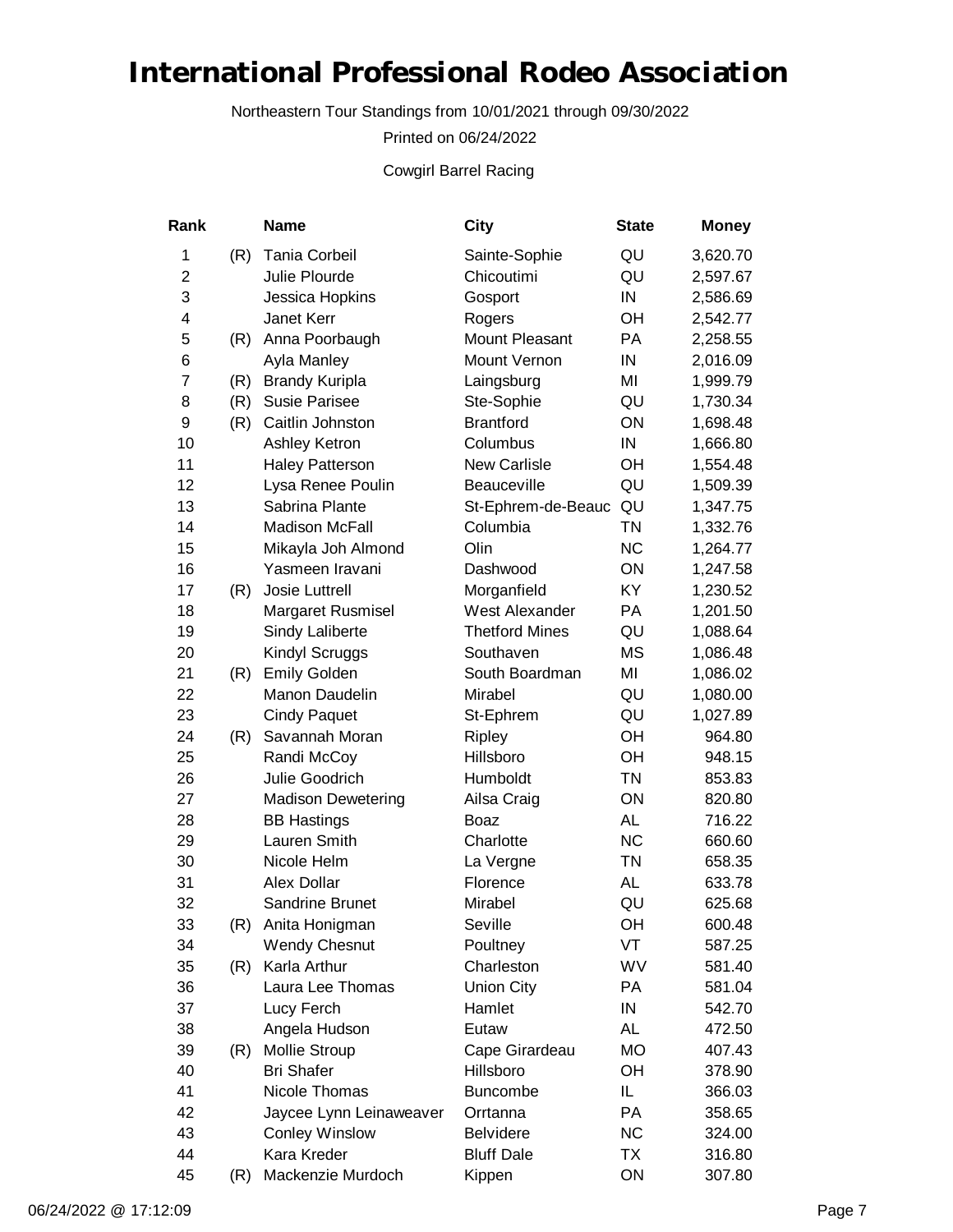Northeastern Tour Standings from 10/01/2021 through 09/30/2022

Printed on 06/24/2022

Cowgirl Barrel Racing

| Rank           |     | <b>Name</b>               | City                  | <b>State</b> | <b>Money</b> |
|----------------|-----|---------------------------|-----------------------|--------------|--------------|
| 1              | (R) | Tania Corbeil             | Sainte-Sophie         | QU           | 3,620.70     |
| $\overline{c}$ |     | Julie Plourde             | Chicoutimi            | QU           | 2,597.67     |
| 3              |     | Jessica Hopkins           | Gosport               | IN           | 2,586.69     |
| 4              |     | Janet Kerr                | Rogers                | OH           | 2,542.77     |
| 5              | (R) | Anna Poorbaugh            | <b>Mount Pleasant</b> | PA           | 2,258.55     |
| 6              |     | Ayla Manley               | Mount Vernon          | IN           | 2,016.09     |
| $\overline{7}$ | (R) | <b>Brandy Kuripla</b>     | Laingsburg            | MI           | 1,999.79     |
| 8              | (R) | <b>Susie Parisee</b>      | Ste-Sophie            | QU           | 1,730.34     |
| 9              | (R) | Caitlin Johnston          | <b>Brantford</b>      | ON           | 1,698.48     |
| 10             |     | Ashley Ketron             | Columbus              | IN           | 1,666.80     |
| 11             |     | <b>Haley Patterson</b>    | <b>New Carlisle</b>   | OH           | 1,554.48     |
| 12             |     | Lysa Renee Poulin         | Beauceville           | QU           | 1,509.39     |
| 13             |     | Sabrina Plante            | St-Ephrem-de-Beauc    | QU           | 1,347.75     |
| 14             |     | <b>Madison McFall</b>     | Columbia              | <b>TN</b>    | 1,332.76     |
| 15             |     | Mikayla Joh Almond        | Olin                  | <b>NC</b>    | 1,264.77     |
| 16             |     | Yasmeen Iravani           | Dashwood              | ON           | 1,247.58     |
| 17             | (R) | Josie Luttrell            | Morganfield           | <b>KY</b>    | 1,230.52     |
| 18             |     | Margaret Rusmisel         | <b>West Alexander</b> | PA           | 1,201.50     |
| 19             |     | Sindy Laliberte           | <b>Thetford Mines</b> | QU           | 1,088.64     |
| 20             |     | Kindyl Scruggs            | Southaven             | MS           | 1,086.48     |
| 21             | (R) | <b>Emily Golden</b>       | South Boardman        | MI           | 1,086.02     |
| 22             |     | Manon Daudelin            | Mirabel               | QU           | 1,080.00     |
| 23             |     | <b>Cindy Paquet</b>       | St-Ephrem             | QU           | 1,027.89     |
| 24             | (R) | Savannah Moran            | <b>Ripley</b>         | OH           | 964.80       |
| 25             |     | Randi McCoy               | Hillsboro             | OH           | 948.15       |
| 26             |     | Julie Goodrich            | Humboldt              | <b>TN</b>    | 853.83       |
| 27             |     | <b>Madison Dewetering</b> | Ailsa Craig           | ON           | 820.80       |
| 28             |     | <b>BB Hastings</b>        | Boaz                  | AL           | 716.22       |
| 29             |     | Lauren Smith              | Charlotte             | <b>NC</b>    | 660.60       |
| 30             |     | Nicole Helm               | La Vergne             | <b>TN</b>    | 658.35       |
| 31             |     | Alex Dollar               | Florence              | AL           | 633.78       |
| 32             |     | Sandrine Brunet           | Mirabel               | QU           | 625.68       |
| 33             | (R) | Anita Honigman            | Seville               | OН           | 600.48       |
| 34             |     | <b>Wendy Chesnut</b>      | Poultney              | VT           | 587.25       |
| 35             | (R) | Karla Arthur              | Charleston            | WV           | 581.40       |
| 36             |     | Laura Lee Thomas          | <b>Union City</b>     | PA           | 581.04       |
| 37             |     | Lucy Ferch                | Hamlet                | IN           | 542.70       |
| 38             |     | Angela Hudson             | Eutaw                 | AL           | 472.50       |
| 39             | (R) | <b>Mollie Stroup</b>      | Cape Girardeau        | МO           | 407.43       |
| 40             |     | <b>Bri Shafer</b>         | Hillsboro             | OН           | 378.90       |
| 41             |     | Nicole Thomas             | <b>Buncombe</b>       | IL.          | 366.03       |
| 42             |     | Jaycee Lynn Leinaweaver   | Orrtanna              | PA           | 358.65       |
| 43             |     | <b>Conley Winslow</b>     | <b>Belvidere</b>      | <b>NC</b>    | 324.00       |
| 44             |     | Kara Kreder               | <b>Bluff Dale</b>     | TX           | 316.80       |
| 45             | (R) | Mackenzie Murdoch         | Kippen                | ON           | 307.80       |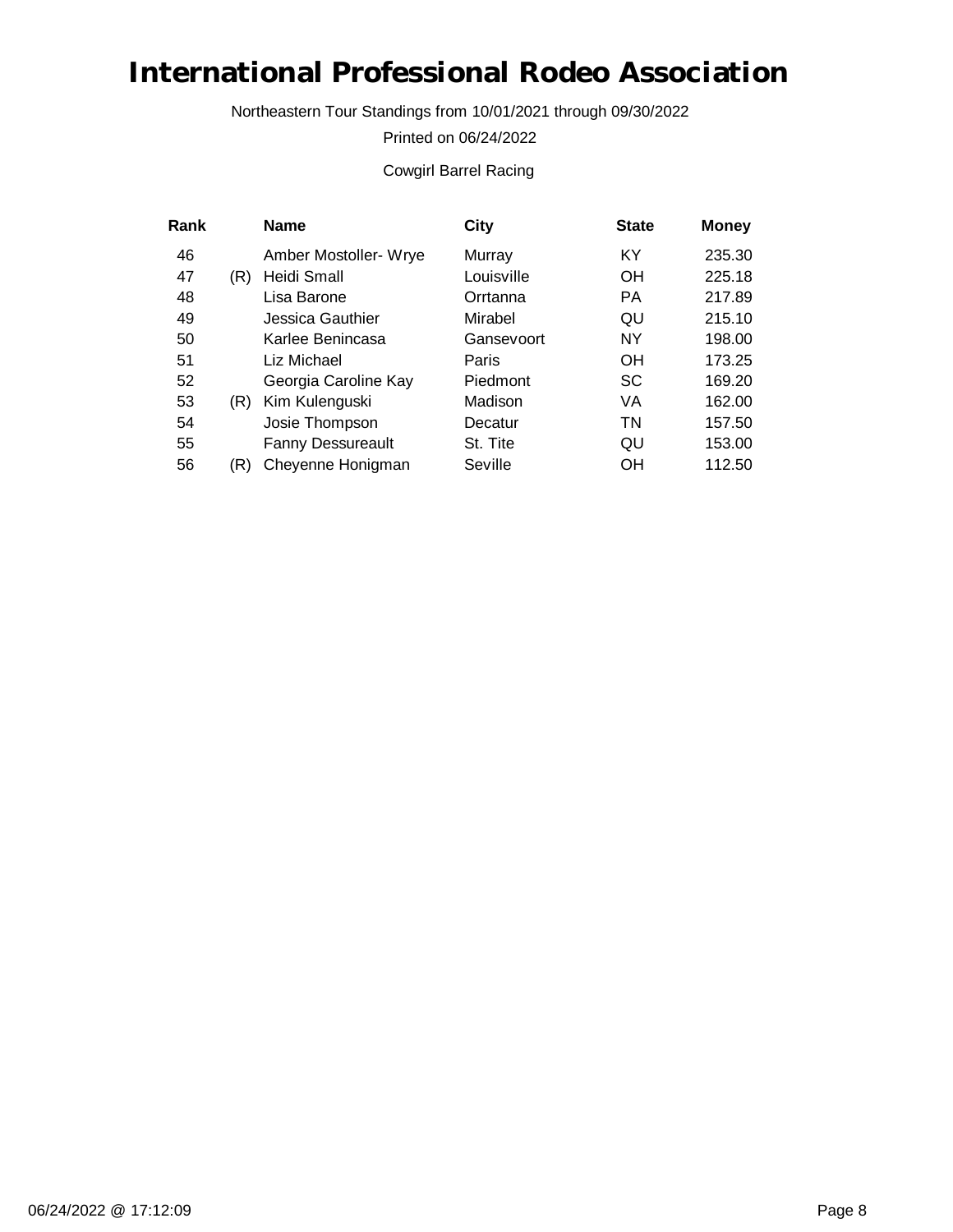Northeastern Tour Standings from 10/01/2021 through 09/30/2022

Printed on 06/24/2022

#### Cowgirl Barrel Racing

| Rank |     | <b>Name</b>              | City       | <b>State</b> | <b>Money</b> |
|------|-----|--------------------------|------------|--------------|--------------|
| 46   |     | Amber Mostoller- Wrye    | Murray     | KY           | 235.30       |
| 47   | (R) | Heidi Small              | Louisville | <b>OH</b>    | 225.18       |
| 48   |     | Lisa Barone              | Orrtanna   | <b>PA</b>    | 217.89       |
| 49   |     | Jessica Gauthier         | Mirabel    | QU           | 215.10       |
| 50   |     | Karlee Benincasa         | Gansevoort | <b>NY</b>    | 198.00       |
| 51   |     | Liz Michael              | Paris      | OH           | 173.25       |
| 52   |     | Georgia Caroline Kay     | Piedmont   | <b>SC</b>    | 169.20       |
| 53   | (R) | Kim Kulenguski           | Madison    | VA           | 162.00       |
| 54   |     | Josie Thompson           | Decatur    | TN           | 157.50       |
| 55   |     | <b>Fanny Dessureault</b> | St. Tite   | QU           | 153.00       |
| 56   | (R) | Cheyenne Honigman        | Seville    | OH           | 112.50       |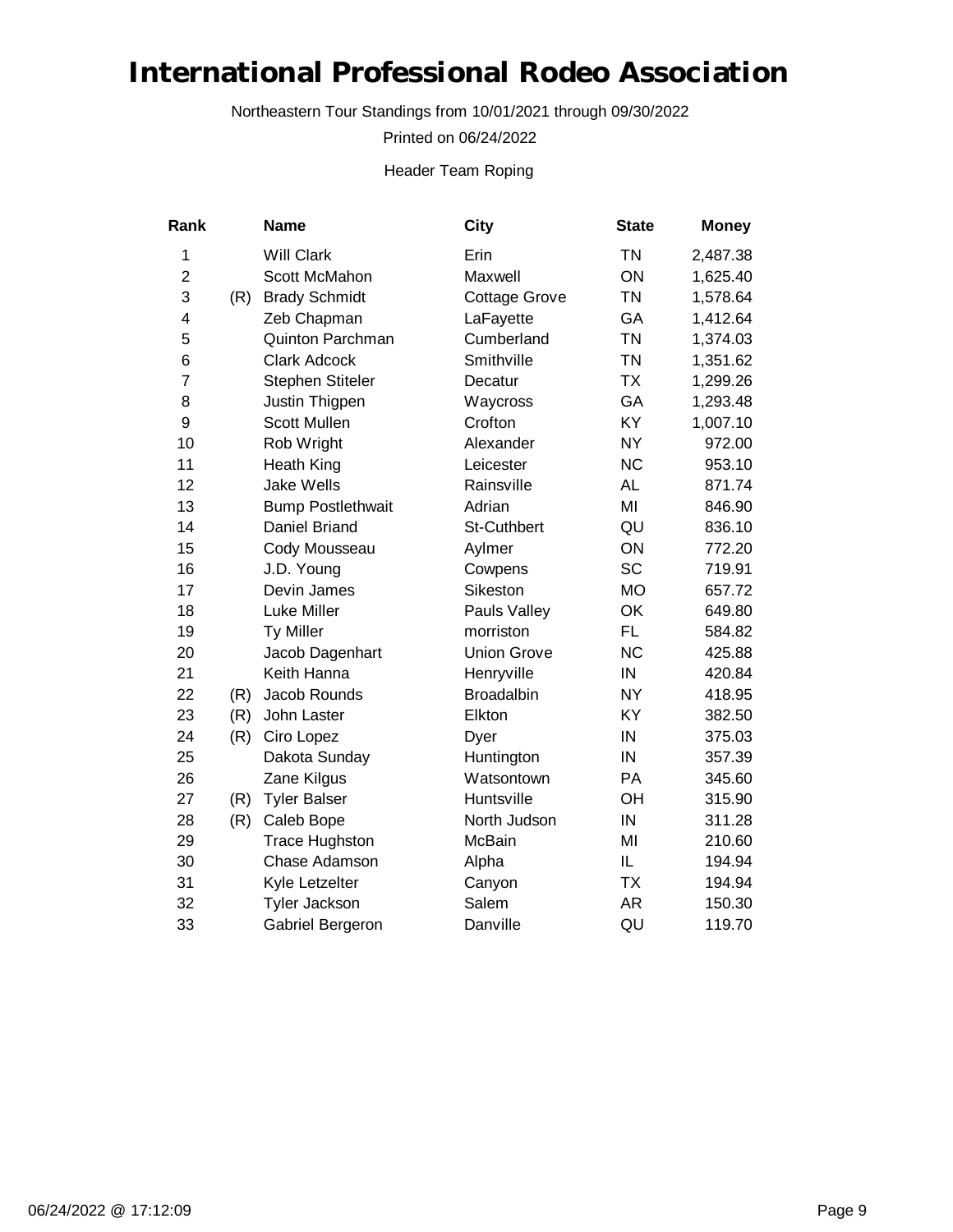Northeastern Tour Standings from 10/01/2021 through 09/30/2022

Printed on 06/24/2022

Header Team Roping

| Rank           |     | <b>Name</b>              | City                 | <b>State</b> | <b>Money</b> |
|----------------|-----|--------------------------|----------------------|--------------|--------------|
| 1              |     | <b>Will Clark</b>        | Erin                 | <b>TN</b>    | 2,487.38     |
| $\overline{c}$ |     | Scott McMahon            | Maxwell              | ON           | 1,625.40     |
| 3              | (R) | <b>Brady Schmidt</b>     | <b>Cottage Grove</b> | <b>TN</b>    | 1,578.64     |
| 4              |     | Zeb Chapman              | LaFayette            | GA           | 1,412.64     |
| 5              |     | Quinton Parchman         | Cumberland           | <b>TN</b>    | 1,374.03     |
| $\,6$          |     | <b>Clark Adcock</b>      | Smithville           | <b>TN</b>    | 1,351.62     |
| $\overline{7}$ |     | Stephen Stiteler         | Decatur              | <b>TX</b>    | 1,299.26     |
| 8              |     | Justin Thigpen           | Waycross             | GA           | 1,293.48     |
| 9              |     | <b>Scott Mullen</b>      | Crofton              | KY           | 1,007.10     |
| 10             |     | Rob Wright               | Alexander            | <b>NY</b>    | 972.00       |
| 11             |     | Heath King               | Leicester            | <b>NC</b>    | 953.10       |
| 12             |     | <b>Jake Wells</b>        | Rainsville           | <b>AL</b>    | 871.74       |
| 13             |     | <b>Bump Postlethwait</b> | Adrian               | MI           | 846.90       |
| 14             |     | Daniel Briand            | <b>St-Cuthbert</b>   | QU           | 836.10       |
| 15             |     | Cody Mousseau            | Aylmer               | ON           | 772.20       |
| 16             |     | J.D. Young               | Cowpens              | <b>SC</b>    | 719.91       |
| 17             |     | Devin James              | Sikeston             | <b>MO</b>    | 657.72       |
| 18             |     | Luke Miller              | Pauls Valley         | OK           | 649.80       |
| 19             |     | <b>Ty Miller</b>         | morriston            | FL.          | 584.82       |
| 20             |     | Jacob Dagenhart          | <b>Union Grove</b>   | <b>NC</b>    | 425.88       |
| 21             |     | Keith Hanna              | Henryville           | IN           | 420.84       |
| 22             | (R) | Jacob Rounds             | Broadalbin           | <b>NY</b>    | 418.95       |
| 23             | (R) | John Laster              | Elkton               | KY           | 382.50       |
| 24             | (R) | Ciro Lopez               | Dyer                 | IN           | 375.03       |
| 25             |     | Dakota Sunday            | Huntington           | IN           | 357.39       |
| 26             |     | Zane Kilgus              | Watsontown           | PA           | 345.60       |
| 27             | (R) | <b>Tyler Balser</b>      | Huntsville           | OH           | 315.90       |
| 28             | (R) | Caleb Bope               | North Judson         | IN           | 311.28       |
| 29             |     | <b>Trace Hughston</b>    | <b>McBain</b>        | MI           | 210.60       |
| 30             |     | Chase Adamson            | Alpha                | IL           | 194.94       |
| 31             |     | Kyle Letzelter           | Canyon               | <b>TX</b>    | 194.94       |
| 32             |     | <b>Tyler Jackson</b>     | Salem                | <b>AR</b>    | 150.30       |
| 33             |     | Gabriel Bergeron         | Danville             | QU           | 119.70       |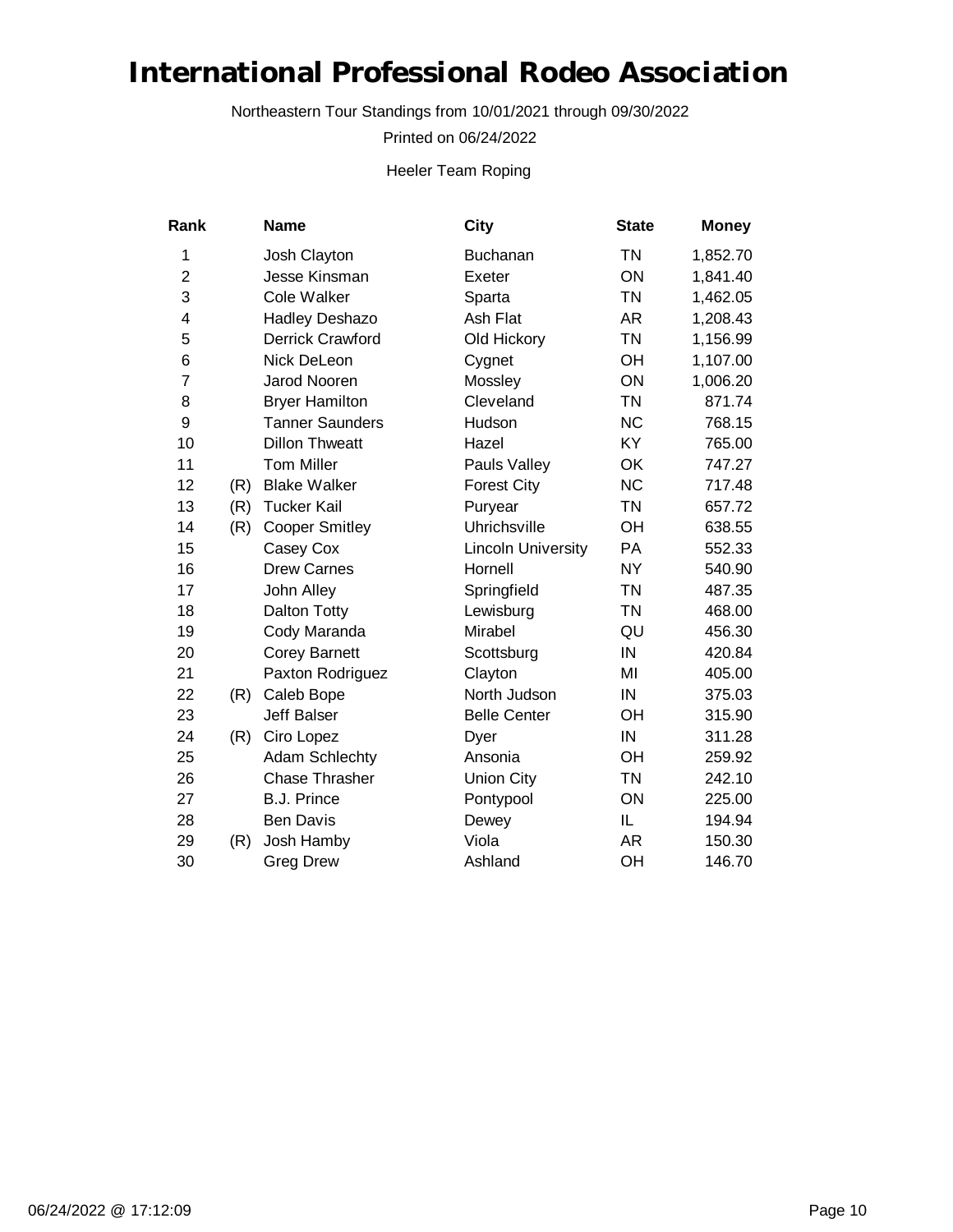Northeastern Tour Standings from 10/01/2021 through 09/30/2022

Printed on 06/24/2022

Heeler Team Roping

| Rank           |     | <b>Name</b>            | City                      | <b>State</b> | <b>Money</b> |
|----------------|-----|------------------------|---------------------------|--------------|--------------|
| $\mathbf{1}$   |     | Josh Clayton           | <b>Buchanan</b>           | <b>TN</b>    | 1,852.70     |
| $\overline{2}$ |     | Jesse Kinsman          | Exeter                    | ON           | 1,841.40     |
| 3              |     | Cole Walker            | Sparta                    | <b>TN</b>    | 1,462.05     |
| 4              |     | <b>Hadley Deshazo</b>  | Ash Flat                  | AR           | 1,208.43     |
| 5              |     | Derrick Crawford       | Old Hickory               | <b>TN</b>    | 1,156.99     |
| 6              |     | Nick DeLeon            | Cygnet                    | OН           | 1,107.00     |
| 7              |     | <b>Jarod Nooren</b>    | Mossley                   | ON           | 1,006.20     |
| 8              |     | <b>Bryer Hamilton</b>  | Cleveland                 | <b>TN</b>    | 871.74       |
| 9              |     | <b>Tanner Saunders</b> | Hudson                    | <b>NC</b>    | 768.15       |
| 10             |     | <b>Dillon Thweatt</b>  | Hazel                     | KY           | 765.00       |
| 11             |     | <b>Tom Miller</b>      | Pauls Valley              | OK           | 747.27       |
| 12             | (R) | <b>Blake Walker</b>    | <b>Forest City</b>        | <b>NC</b>    | 717.48       |
| 13             | (R) | <b>Tucker Kail</b>     | Puryear                   | <b>TN</b>    | 657.72       |
| 14             | (R) | <b>Cooper Smitley</b>  | Uhrichsville              | OH           | 638.55       |
| 15             |     | Casey Cox              | <b>Lincoln University</b> | PA           | 552.33       |
| 16             |     | <b>Drew Carnes</b>     | Hornell                   | <b>NY</b>    | 540.90       |
| 17             |     | John Alley             | Springfield               | <b>TN</b>    | 487.35       |
| 18             |     | <b>Dalton Totty</b>    | Lewisburg                 | <b>TN</b>    | 468.00       |
| 19             |     | Cody Maranda           | Mirabel                   | QU           | 456.30       |
| 20             |     | <b>Corey Barnett</b>   | Scottsburg                | IN           | 420.84       |
| 21             |     | Paxton Rodriguez       | Clayton                   | MI           | 405.00       |
| 22             | (R) | Caleb Bope             | North Judson              | IN           | 375.03       |
| 23             |     | <b>Jeff Balser</b>     | <b>Belle Center</b>       | OH           | 315.90       |
| 24             | (R) | Ciro Lopez             | Dyer                      | IN           | 311.28       |
| 25             |     | Adam Schlechty         | Ansonia                   | OH           | 259.92       |
| 26             |     | <b>Chase Thrasher</b>  | <b>Union City</b>         | <b>TN</b>    | 242.10       |
| 27             |     | <b>B.J. Prince</b>     | Pontypool                 | ON           | 225.00       |
| 28             |     | <b>Ben Davis</b>       | Dewey                     | IL           | 194.94       |
| 29             | (R) | Josh Hamby             | Viola                     | AR           | 150.30       |
| 30             |     | <b>Greg Drew</b>       | Ashland                   | OH           | 146.70       |